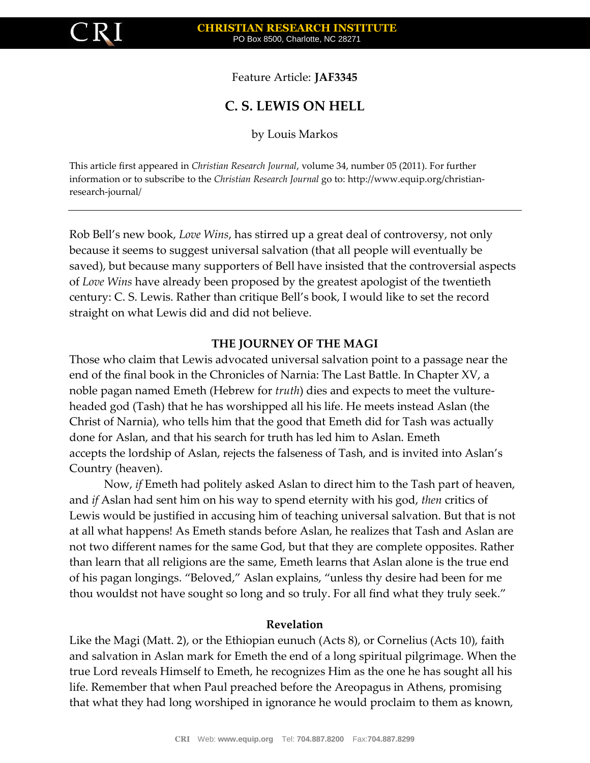

Feature Article: **JAF3345**

# **C. S. LEWIS ON HELL**

by Louis Markos

This article first appeared in *Christian Research Journal*, volume 34, number 05 (2011). For further information or to subscribe to the *Christian Research Journal* go to: http://www.equip.org/christianresearch-journal/

Rob Bell's new book, *Love Wins*, has stirred up a great deal of controversy, not only because it seems to suggest universal salvation (that all people will eventually be saved), but because many supporters of Bell have insisted that the controversial aspects of *Love Wins* have already been proposed by the greatest apologist of the twentieth century: C. S. Lewis. Rather than critique Bell's book, I would like to set the record straight on what Lewis did and did not believe.

#### **THE JOURNEY OF THE MAGI**

Those who claim that Lewis advocated universal salvation point to a passage near the end of the final book in the Chronicles of Narnia: The Last Battle. In Chapter XV, a noble pagan named Emeth (Hebrew for *truth*) dies and expects to meet the vultureheaded god (Tash) that he has worshipped all his life. He meets instead Aslan (the Christ of Narnia), who tells him that the good that Emeth did for Tash was actually done for Aslan, and that his search for truth has led him to Aslan. Emeth accepts the lordship of Aslan, rejects the falseness of Tash, and is invited into Aslan's Country (heaven).

Now, *if* Emeth had politely asked Aslan to direct him to the Tash part of heaven, and *if* Aslan had sent him on his way to spend eternity with his god, *then* critics of Lewis would be justified in accusing him of teaching universal salvation. But that is not at all what happens! As Emeth stands before Aslan, he realizes that Tash and Aslan are not two different names for the same God, but that they are complete opposites. Rather than learn that all religions are the same, Emeth learns that Aslan alone is the true end of his pagan longings. "Beloved," Aslan explains, "unless thy desire had been for me thou wouldst not have sought so long and so truly. For all find what they truly seek."

#### **Revelation**

Like the Magi (Matt. 2), or the Ethiopian eunuch (Acts 8), or Cornelius (Acts 10), faith and salvation in Aslan mark for Emeth the end of a long spiritual pilgrimage. When the true Lord reveals Himself to Emeth, he recognizes Him as the one he has sought all his life. Remember that when Paul preached before the Areopagus in Athens, promising that what they had long worshiped in ignorance he would proclaim to them as known,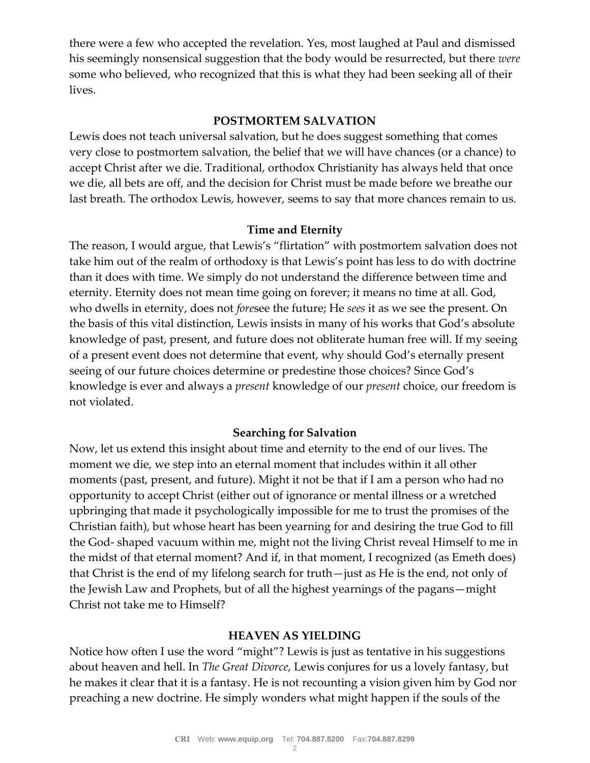there were a few who accepted the revelation. Yes, most laughed at Paul and dismissed his seemingly nonsensical suggestion that the body would be resurrected, but there *were* some who believed, who recognized that this is what they had been seeking all of their lives.

## **POSTMORTEM SALVATION**

Lewis does not teach universal salvation, but he does suggest something that comes very close to postmortem salvation, the belief that we will have chances (or a chance) to accept Christ after we die. Traditional, orthodox Christianity has always held that once we die, all bets are off, and the decision for Christ must be made before we breathe our last breath. The orthodox Lewis, however, seems to say that more chances remain to us.

## **Time and Eternity**

The reason, I would argue, that Lewis's "flirtation" with postmortem salvation does not take him out of the realm of orthodoxy is that Lewis's point has less to do with doctrine than it does with time. We simply do not understand the difference between time and eternity. Eternity does not mean time going on forever; it means no time at all. God, who dwells in eternity, does not *fore*see the future; He *sees* it as we see the present. On the basis of this vital distinction, Lewis insists in many of his works that God's absolute knowledge of past, present, and future does not obliterate human free will. If my seeing of a present event does not determine that event, why should God's eternally present seeing of our future choices determine or predestine those choices? Since God's knowledge is ever and always a *present* knowledge of our *present* choice, our freedom is not violated.

## **Searching for Salvation**

Now, let us extend this insight about time and eternity to the end of our lives. The moment we die, we step into an eternal moment that includes within it all other moments (past, present, and future). Might it not be that if I am a person who had no opportunity to accept Christ (either out of ignorance or mental illness or a wretched upbringing that made it psychologically impossible for me to trust the promises of the Christian faith), but whose heart has been yearning for and desiring the true God to fill the God- shaped vacuum within me, might not the living Christ reveal Himself to me in the midst of that eternal moment? And if, in that moment, I recognized (as Emeth does) that Christ is the end of my lifelong search for truth—just as He is the end, not only of the Jewish Law and Prophets, but of all the highest yearnings of the pagans—might Christ not take me to Himself?

## **HEAVEN AS YIELDING**

Notice how often I use the word "might"? Lewis is just as tentative in his suggestions about heaven and hell. In *The Great Divorce*, Lewis conjures for us a lovely fantasy, but he makes it clear that it is a fantasy. He is not recounting a vision given him by God nor preaching a new doctrine. He simply wonders what might happen if the souls of the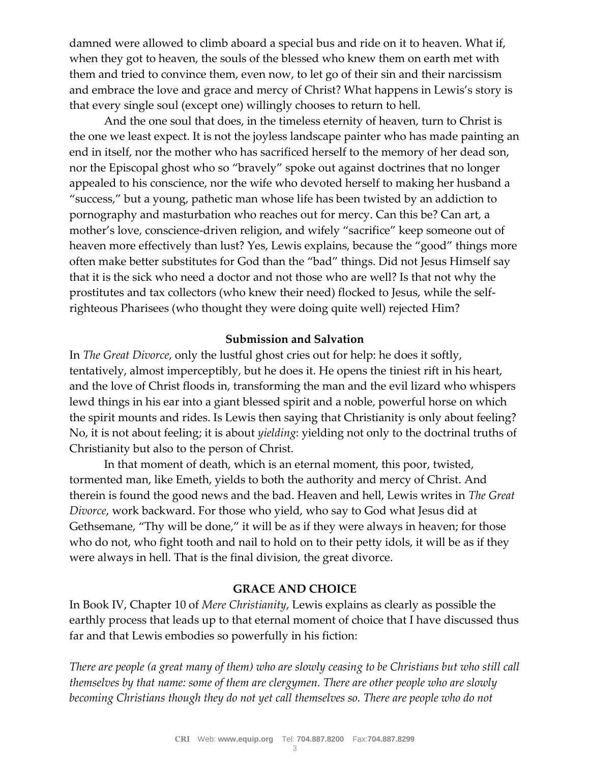damned were allowed to climb aboard a special bus and ride on it to heaven. What if, when they got to heaven, the souls of the blessed who knew them on earth met with them and tried to convince them, even now, to let go of their sin and their narcissism and embrace the love and grace and mercy of Christ? What happens in Lewis's story is that every single soul (except one) willingly chooses to return to hell.

And the one soul that does, in the timeless eternity of heaven, turn to Christ is the one we least expect. It is not the joyless landscape painter who has made painting an end in itself, nor the mother who has sacrificed herself to the memory of her dead son, nor the Episcopal ghost who so "bravely" spoke out against doctrines that no longer appealed to his conscience, nor the wife who devoted herself to making her husband a "success," but a young, pathetic man whose life has been twisted by an addiction to pornography and masturbation who reaches out for mercy. Can this be? Can art, a mother's love, conscience-driven religion, and wifely "sacrifice" keep someone out of heaven more effectively than lust? Yes, Lewis explains, because the "good" things more often make better substitutes for God than the "bad" things. Did not Jesus Himself say that it is the sick who need a doctor and not those who are well? Is that not why the prostitutes and tax collectors (who knew their need) flocked to Jesus, while the selfrighteous Pharisees (who thought they were doing quite well) rejected Him?

#### **Submission and Salvation**

In *The Great Divorce*, only the lustful ghost cries out for help: he does it softly, tentatively, almost imperceptibly, but he does it. He opens the tiniest rift in his heart, and the love of Christ floods in, transforming the man and the evil lizard who whispers lewd things in his ear into a giant blessed spirit and a noble, powerful horse on which the spirit mounts and rides. Is Lewis then saying that Christianity is only about feeling? No, it is not about feeling; it is about *yielding*: yielding not only to the doctrinal truths of Christianity but also to the person of Christ.

In that moment of death, which is an eternal moment, this poor, twisted, tormented man, like Emeth, yields to both the authority and mercy of Christ. And therein is found the good news and the bad. Heaven and hell, Lewis writes in *The Great Divorce*, work backward. For those who yield, who say to God what Jesus did at Gethsemane, "Thy will be done," it will be as if they were always in heaven; for those who do not, who fight tooth and nail to hold on to their petty idols, it will be as if they were always in hell. That is the final division, the great divorce.

## **GRACE AND CHOICE**

In Book IV, Chapter 10 of *Mere Christianity*, Lewis explains as clearly as possible the earthly process that leads up to that eternal moment of choice that I have discussed thus far and that Lewis embodies so powerfully in his fiction:

*There are people (a great many of them) who are slowly ceasing to be Christians but who still call themselves by that name: some of them are clergymen. There are other people who are slowly becoming Christians though they do not yet call themselves so. There are people who do not*